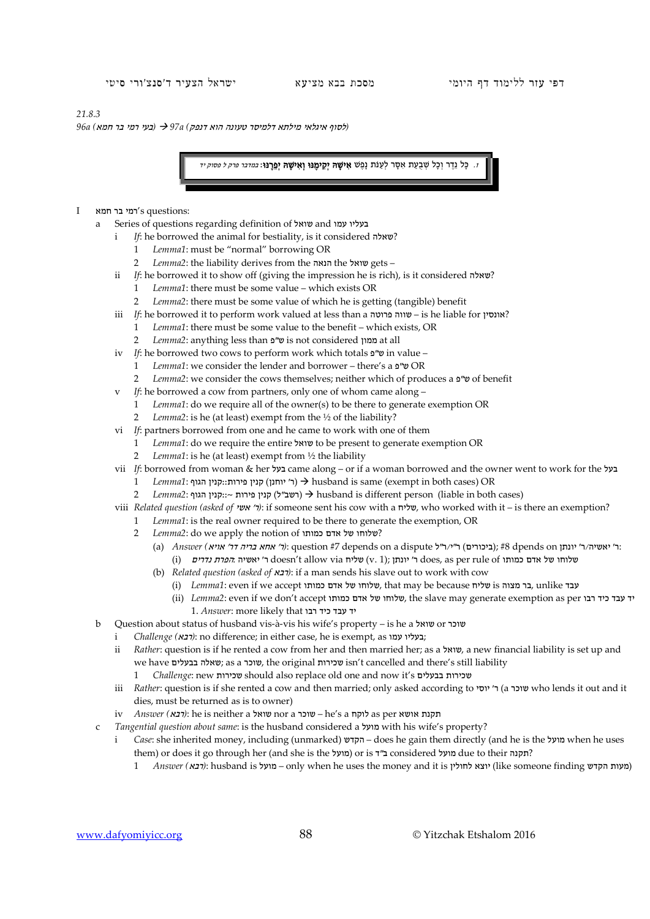## *21.8.3*

*(*לסוף איגלאי מילתא דלמיסר טעונה הוא דנפק*) a97 )* בעי רמי בר חמא*) a96*

ו. כַּל נֵדֶר וְכַל שְׁבַעַת אִסָּר לְעַנֹּת נַפֶּשׁ **אִישָׁהּ יְקִימֶנּוּ וְאִישָׁהּ יְפֵרֵנּוּ**: *במדבר פרק ל פסוק יד* 

- $I$ רמי בר חמא  $\gamma$ s questions:
	- a Series of questions regarding definition of שואל and עמו בעליו
		- i *If*: he borrowed the animal for bestiality, is it considered שאלה?
			- 1 *Lemma1*: must be "normal" borrowing OR
			- 2 *Lemma2*: the liability derives from the הנאה the שואל gets –
		- ii *If*: he borrowed it to show off (giving the impression he is rich), is it considered  $\sim$ ?
			- 1 *Lemma1*: there must be some value which exists OR
			- 2 *Lemma2*: there must be some value of which he is getting (tangible) benefit
		- iii *If*: he borrowed it to perform work valued at less than a יווה פרוטה is he liable for אונסין?
			- 1 *Lemma1*: there must be some value to the benefit which exists, OR
			- 2 *Lemma2*: anything less than פ"ש is not considered ממון at all
		- iv *If*: he borrowed two cows to perform work which totals פ"ש in value
			- 1 *Lemma1*: we consider the lender and borrower there's a פ"ש OR
			- 2 *Lemma2*: we consider the cows themselves; neither which of produces a פ"ש of benefit
		- v *If*: he borrowed a cow from partners, only one of whom came along
			- 1 *Lemma1*: do we require all of the owner(s) to be there to generate exemption OR
			- 2 *Lemma2*: is he (at least) exempt from the ½ of the liability?
		- vi *If*: partners borrowed from one and he came to work with one of them
			- 1 *Lemma1*: do we require the entire שואל to be present to generate exemption OR
			- 2 *Lemma1*: is he (at least) exempt from ½ the liability
		- vii *If*: borrowed from woman & her בעל came along or if a woman borrowed and the owner went to work for the בעל
			- 1 *Lemma1*: הגוף (יוחנן) א ליוחנן) וואגוף::F ( ר' יוחנן) הגוף לוואגוף) וואגוף ( exempt in both cases) OR
			- 2 *Lemma*2: הגוף הגוף;: ~ הגון קנין פירות ( dusband is different person (liable in both cases)
		- viii *Related question (asked of ישי יר)*: if someone sent his cow with a שליח, who worked with it is there an exemption?
			- 1 *Lemma1*: is the real owner required to be there to generate the exemption, OR
				- 2 *Lemma2*: do we apply the notion of כמותו אדם של שלוחו ?
					- :ר' יאשיה/ר' יונתן on dpends #8); ביכורים) ר"י/ר"ל dispute a on depends #7 question :*)*ר' אחא בריה דר' אויא*) Answer*) a( i) שלוחו של אדם כמותו does, as per rule of ר' יונתן ;(1 .v ) שליח doesn't allow via ר' יאשיה :*הפרת נדרים*
					- (b) *Related question (asked of*  $x$ *(rex)*: if a man sends his slave out to work with cow
						- (i) *Lemma1*: even if we accept כמותו אדם של שלוחו, that may be because שליח is מצוה בר, unlike עבד
						- (ii) *Lemma2*: even if we don't accept שלוחו של אדם כמותו, the slave may generate exemption as per יד עבד כיד רבו יד עבד כיד רבו that likely more :*Answer* 1.
	- b Question about status of husband vis-à-vis his wife's property is he a שואל or שוכר
		- i *Challenge (דבא*): no difference; in either case, he is exempt, as
		- ii *Rather*: question is if he rented a cow from her and then married her; as a שואל, a new financial liability is set up and we have שוכר, as a שוכר, the original שכירות isn't cancelled and there's still liability
			- 1 *Challenge*: new שכירות should also replace old one and now it's בבעלים שכירות
		- iii *Rather*: question is if she rented a cow and then married; only asked according to יוסי' ר) a שוכר who lends it out and it dies, must be returned as is to owner)
		- iv *Answer (*רבא*(*: he is neither a שואל nor a שוכר he's a לוקח as per אושא תקנת
	- c *Tangential question about same*: is the husband considered a מועל with his wife's property?
		- i *Case*: she inherited money, including (unmarked) הקדש does he gain them directly (and he is the מועל when he uses them) or does it go through her (and she is the מועל (or is ד"ב considered מועל due to their תקנה?
			- 1 *Answer (מעות הקדש*): husband is ומעל only when he uses the money and it is (מעות הקדש): husband is הקדש)